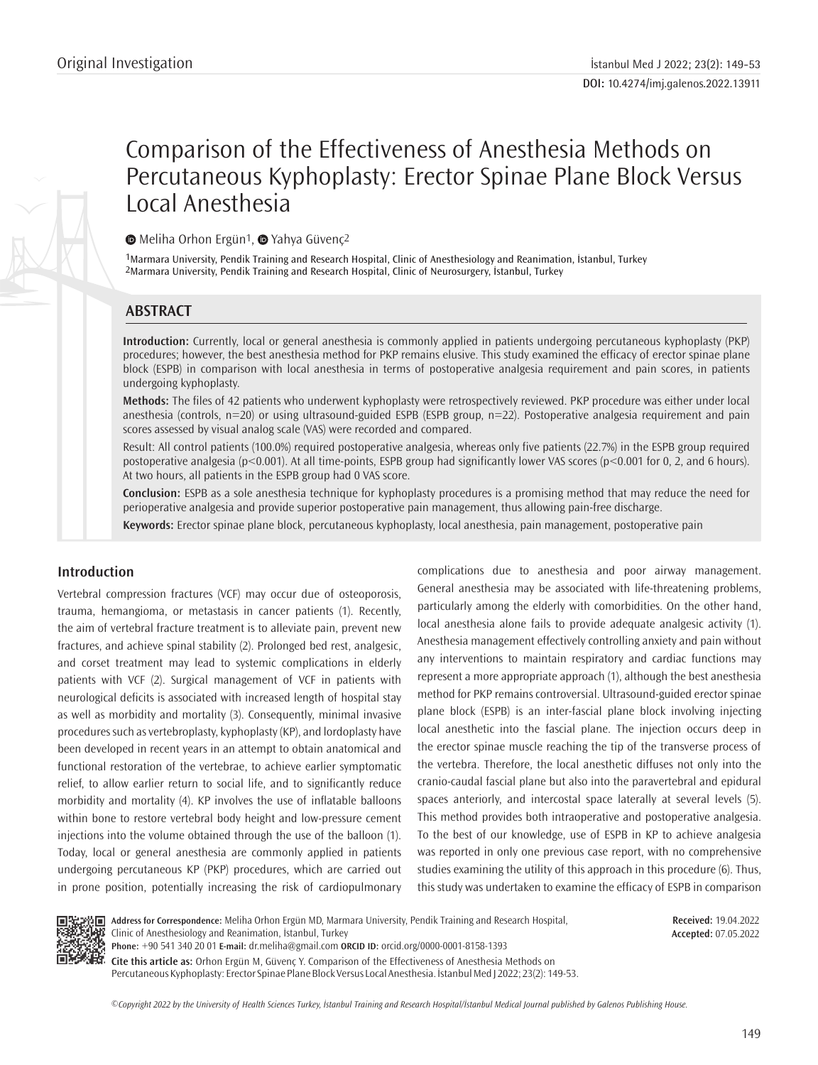# Comparison of the Effectiveness of Anesthesia Methods on Percutaneous Kyphoplasty: Erector Spinae Plane Block Versus Local Anesthesia

**■**Meliha Orhon Ergün<sup>1</sup>, ■ Yahya Güvenç<sup>2</sup>

1Marmara University, Pendik Training and Research Hospital, Clinic of Anesthesiology and Reanimation, İstanbul, Turkey 2Marmara University, Pendik Training and Research Hospital, Clinic of Neurosurgery, İstanbul, Turkey

# **ABSTRACT**

**Introduction:** Currently, local or general anesthesia is commonly applied in patients undergoing percutaneous kyphoplasty (PKP) procedures; however, the best anesthesia method for PKP remains elusive. This study examined the efficacy of erector spinae plane block (ESPB) in comparison with local anesthesia in terms of postoperative analgesia requirement and pain scores, in patients undergoing kyphoplasty.

**Methods:** The files of 42 patients who underwent kyphoplasty were retrospectively reviewed. PKP procedure was either under local anesthesia (controls, n=20) or using ultrasound-guided ESPB (ESPB group, n=22). Postoperative analgesia requirement and pain scores assessed by visual analog scale (VAS) were recorded and compared.

Result: All control patients (100.0%) required postoperative analgesia, whereas only five patients (22.7%) in the ESPB group required postoperative analgesia (p<0.001). At all time-points, ESPB group had significantly lower VAS scores (p<0.001 for 0, 2, and 6 hours). At two hours, all patients in the ESPB group had 0 VAS score.

**Conclusion:** ESPB as a sole anesthesia technique for kyphoplasty procedures is a promising method that may reduce the need for perioperative analgesia and provide superior postoperative pain management, thus allowing pain-free discharge.

**Keywords:** Erector spinae plane block, percutaneous kyphoplasty, local anesthesia, pain management, postoperative pain

# **Introduction**

Vertebral compression fractures (VCF) may occur due of osteoporosis, trauma, hemangioma, or metastasis in cancer patients (1). Recently, the aim of vertebral fracture treatment is to alleviate pain, prevent new fractures, and achieve spinal stability (2). Prolonged bed rest, analgesic, and corset treatment may lead to systemic complications in elderly patients with VCF (2). Surgical management of VCF in patients with neurological deficits is associated with increased length of hospital stay as well as morbidity and mortality (3). Consequently, minimal invasive procedures such as vertebroplasty, kyphoplasty (KP), and lordoplasty have been developed in recent years in an attempt to obtain anatomical and functional restoration of the vertebrae, to achieve earlier symptomatic relief, to allow earlier return to social life, and to significantly reduce morbidity and mortality (4). KP involves the use of inflatable balloons within bone to restore vertebral body height and low-pressure cement injections into the volume obtained through the use of the balloon (1). Today, local or general anesthesia are commonly applied in patients undergoing percutaneous KP (PKP) procedures, which are carried out in prone position, potentially increasing the risk of cardiopulmonary complications due to anesthesia and poor airway management. General anesthesia may be associated with life-threatening problems, particularly among the elderly with comorbidities. On the other hand, local anesthesia alone fails to provide adequate analgesic activity (1). Anesthesia management effectively controlling anxiety and pain without any interventions to maintain respiratory and cardiac functions may represent a more appropriate approach (1), although the best anesthesia method for PKP remains controversial. Ultrasound-guided erector spinae plane block (ESPB) is an inter-fascial plane block involving injecting local anesthetic into the fascial plane. The injection occurs deep in the erector spinae muscle reaching the tip of the transverse process of the vertebra. Therefore, the local anesthetic diffuses not only into the cranio-caudal fascial plane but also into the paravertebral and epidural spaces anteriorly, and intercostal space laterally at several levels (5). This method provides both intraoperative and postoperative analgesia. To the best of our knowledge, use of ESPB in KP to achieve analgesia was reported in only one previous case report, with no comprehensive studies examining the utility of this approach in this procedure (6). Thus, this study was undertaken to examine the efficacy of ESPB in comparison



**Address for Correspondence:** Meliha Orhon Ergün MD, Marmara University, Pendik Training and Research Hospital, Clinic of Anesthesiology and Reanimation, İstanbul, Turkey

**Received:** 19.04.2022 **Accepted:** 07.05.2022

**Phone:** +90 541 340 20 01 **E-mail:** dr.meliha@gmail.com **ORCID ID:** orcid.org/0000-0001-8158-1393

**Cite this article as:** Orhon Ergün M, Güvenç Y. Comparison of the Effectiveness of Anesthesia Methods on Percutaneous Kyphoplasty: Erector Spinae Plane Block Versus Local Anesthesia. İstanbul Med J 2022; 23(2): 149-53.

*©*Copyright 2022 by the University of Health Sciences Turkey, İstanbul Training and Research Hospital/İstanbul Medical Journal published by Galenos Publishing House.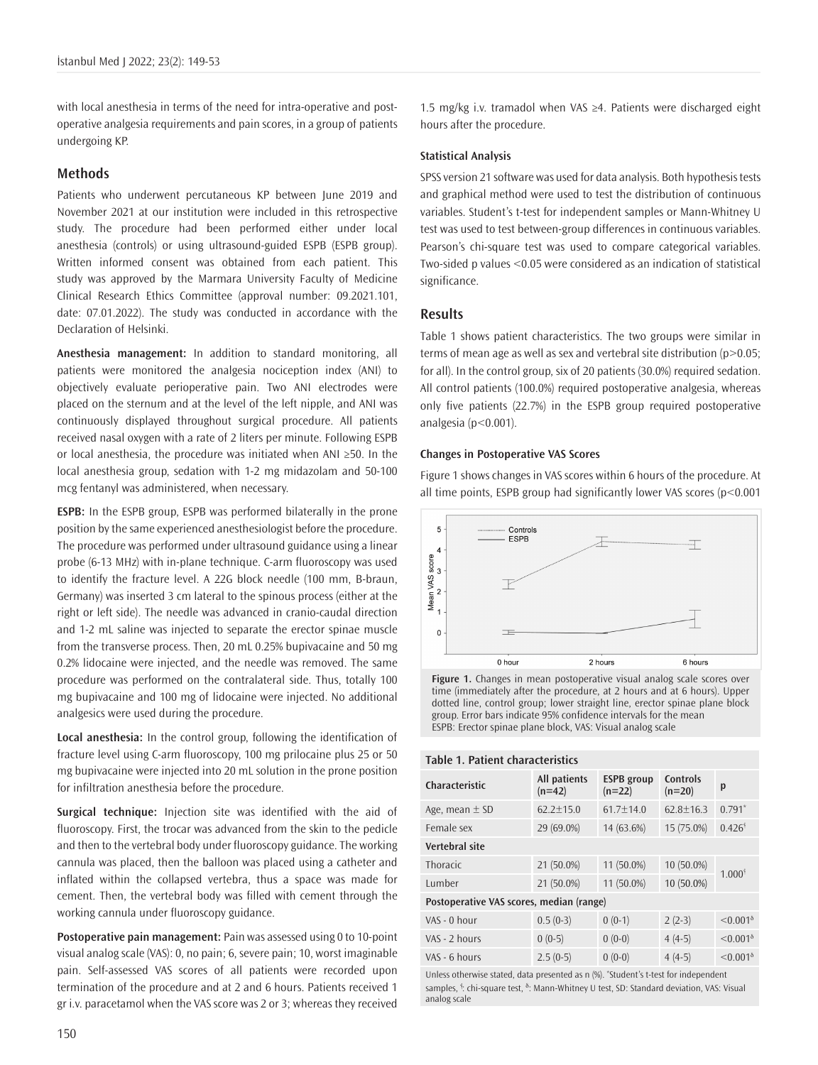with local anesthesia in terms of the need for intra-operative and postoperative analgesia requirements and pain scores, in a group of patients undergoing KP.

## **Methods**

Patients who underwent percutaneous KP between June 2019 and November 2021 at our institution were included in this retrospective study. The procedure had been performed either under local anesthesia (controls) or using ultrasound-guided ESPB (ESPB group). Written informed consent was obtained from each patient. This study was approved by the Marmara University Faculty of Medicine Clinical Research Ethics Committee (approval number: 09.2021.101, date: 07.01.2022). The study was conducted in accordance with the Declaration of Helsinki.

**Anesthesia management:** In addition to standard monitoring, all patients were monitored the analgesia nociception index (ANI) to objectively evaluate perioperative pain. Two ANI electrodes were placed on the sternum and at the level of the left nipple, and ANI was continuously displayed throughout surgical procedure. All patients received nasal oxygen with a rate of 2 liters per minute. Following ESPB or local anesthesia, the procedure was initiated when ANI ≥50. In the local anesthesia group, sedation with 1-2 mg midazolam and 50-100 mcg fentanyl was administered, when necessary.

**ESPB:** In the ESPB group, ESPB was performed bilaterally in the prone position by the same experienced anesthesiologist before the procedure. The procedure was performed under ultrasound guidance using a linear probe (6-13 MHz) with in-plane technique. C-arm fluoroscopy was used to identify the fracture level. A 22G block needle (100 mm, B-braun, Germany) was inserted 3 cm lateral to the spinous process (either at the right or left side). The needle was advanced in cranio-caudal direction and 1-2 mL saline was injected to separate the erector spinae muscle from the transverse process. Then, 20 mL 0.25% bupivacaine and 50 mg 0.2% lidocaine were injected, and the needle was removed. The same procedure was performed on the contralateral side. Thus, totally 100 mg bupivacaine and 100 mg of lidocaine were injected. No additional analgesics were used during the procedure.

**Local anesthesia:** In the control group, following the identification of fracture level using C-arm fluoroscopy, 100 mg prilocaine plus 25 or 50 mg bupivacaine were injected into 20 mL solution in the prone position for infiltration anesthesia before the procedure.

**Surgical technique:** Injection site was identified with the aid of fluoroscopy. First, the trocar was advanced from the skin to the pedicle and then to the vertebral body under fluoroscopy guidance. The working cannula was placed, then the balloon was placed using a catheter and inflated within the collapsed vertebra, thus a space was made for cement. Then, the vertebral body was filled with cement through the working cannula under fluoroscopy guidance.

**Postoperative pain management:** Pain was assessed using 0 to 10-point visual analog scale (VAS): 0, no pain; 6, severe pain; 10, worst imaginable pain. Self-assessed VAS scores of all patients were recorded upon termination of the procedure and at 2 and 6 hours. Patients received 1 gr i.v. paracetamol when the VAS score was 2 or 3; whereas they received 1.5 mg/kg i.v. tramadol when VAS ≥4. Patients were discharged eight hours after the procedure.

#### **Statistical Analysis**

SPSS version 21 software was used for data analysis. Both hypothesis tests and graphical method were used to test the distribution of continuous variables. Student's t-test for independent samples or Mann-Whitney U test was used to test between-group differences in continuous variables. Pearson's chi-square test was used to compare categorical variables. Two-sided p values <0.05 were considered as an indication of statistical significance.

## **Results**

Table 1 shows patient characteristics. The two groups were similar in terms of mean age as well as sex and vertebral site distribution (p>0.05; for all). In the control group, six of 20 patients (30.0%) required sedation. All control patients (100.0%) required postoperative analgesia, whereas only five patients (22.7%) in the ESPB group required postoperative analgesia (p<0.001).

#### **Changes in Postoperative VAS Scores**

Figure 1 shows changes in VAS scores within 6 hours of the procedure. At all time points, ESPB group had significantly lower VAS scores (p<0.001



**Figure 1.** Changes in mean postoperative visual analog scale scores over time (immediately after the procedure, at 2 hours and at 6 hours). Upper dotted line, control group; lower straight line, erector spinae plane block group. Error bars indicate 95% confidence intervals for the mean ESPB: Erector spinae plane block, VAS: Visual analog scale

|  | Table 1. Patient characteristics |
|--|----------------------------------|
|--|----------------------------------|

| Characteristic                           | All patients<br>$(n=42)$ | <b>ESPB</b> group<br>$(n=22)$ | Controls<br>$(n=20)$ | p                                        |  |
|------------------------------------------|--------------------------|-------------------------------|----------------------|------------------------------------------|--|
| Age, mean $\pm$ SD                       | $62.2 \pm 15.0$          | $61.7 \pm 14.0$               | $62.8 + 16.3$        | $0.791*$                                 |  |
| Female sex                               | 29 (69.0%)               | 14 (63.6%)                    | 15 (75.0%)           | $0.426^{\dagger}$                        |  |
| Vertebral site                           |                          |                               |                      |                                          |  |
| <b>Thoracic</b>                          | 21 (50.0%)               | 11 (50.0%)                    | 10 (50.0%)           | $1.000^{\dagger}$                        |  |
| Lumber                                   | 21 (50.0%)               | 11 (50.0%)                    | 10 (50.0%)           |                                          |  |
| Postoperative VAS scores, median (range) |                          |                               |                      |                                          |  |
| VAS - 0 hour                             | $0.5(0-3)$               | $0(0-1)$                      | $2(2-3)$             | $< 0.001$ <sup><math>\delta</math></sup> |  |
| VAS - 2 hours                            | $0(0-5)$                 | $0(0-0)$                      | $4(4-5)$             | $< 0.001$ <sup><math>\delta</math></sup> |  |
| VAS - 6 hours                            | $2.5(0-5)$               | $0(0-0)$                      | $4(4-5)$             | $< 0.001$ <sup><math>\delta</math></sup> |  |
|                                          |                          |                               |                      |                                          |  |

Unless otherwise stated, data presented as n (%). \* Student's t-test for independent samples, <sup>i</sup>: chi-square test, <sup>δ</sup>: Mann-Whitney U test, SD: Standard deviation, VAS: Visual analog scale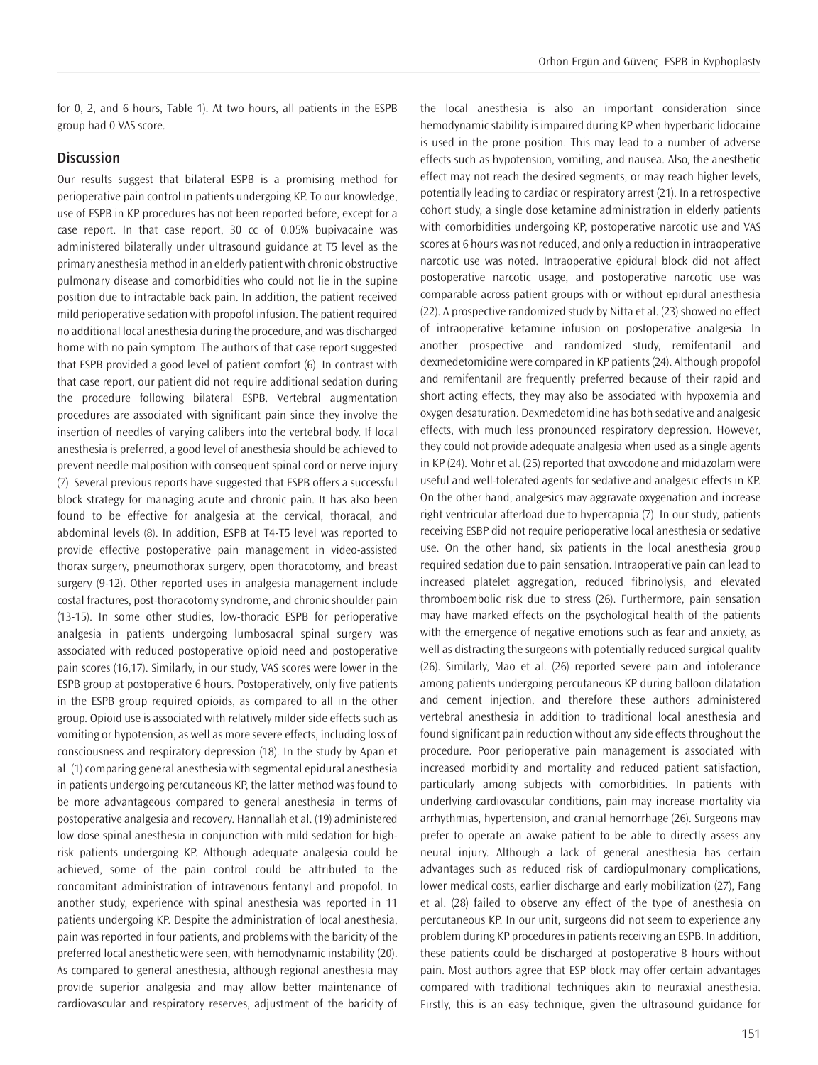for 0, 2, and 6 hours, Table 1). At two hours, all patients in the ESPB group had 0 VAS score.

# **Discussion**

Our results suggest that bilateral ESPB is a promising method for perioperative pain control in patients undergoing KP. To our knowledge, use of ESPB in KP procedures has not been reported before, except for a case report. In that case report, 30 cc of 0.05% bupivacaine was administered bilaterally under ultrasound guidance at T5 level as the primary anesthesia method in an elderly patient with chronic obstructive pulmonary disease and comorbidities who could not lie in the supine position due to intractable back pain. In addition, the patient received mild perioperative sedation with propofol infusion. The patient required no additional local anesthesia during the procedure, and was discharged home with no pain symptom. The authors of that case report suggested that ESPB provided a good level of patient comfort (6). In contrast with that case report, our patient did not require additional sedation during the procedure following bilateral ESPB. Vertebral augmentation procedures are associated with significant pain since they involve the insertion of needles of varying calibers into the vertebral body. If local anesthesia is preferred, a good level of anesthesia should be achieved to prevent needle malposition with consequent spinal cord or nerve injury (7). Several previous reports have suggested that ESPB offers a successful block strategy for managing acute and chronic pain. It has also been found to be effective for analgesia at the cervical, thoracal, and abdominal levels (8). In addition, ESPB at T4-T5 level was reported to provide effective postoperative pain management in video-assisted thorax surgery, pneumothorax surgery, open thoracotomy, and breast surgery (9-12). Other reported uses in analgesia management include costal fractures, post-thoracotomy syndrome, and chronic shoulder pain (13-15). In some other studies, low-thoracic ESPB for perioperative analgesia in patients undergoing lumbosacral spinal surgery was associated with reduced postoperative opioid need and postoperative pain scores (16,17). Similarly, in our study, VAS scores were lower in the ESPB group at postoperative 6 hours. Postoperatively, only five patients in the ESPB group required opioids, as compared to all in the other group. Opioid use is associated with relatively milder side effects such as vomiting or hypotension, as well as more severe effects, including loss of consciousness and respiratory depression (18). In the study by Apan et al. (1) comparing general anesthesia with segmental epidural anesthesia in patients undergoing percutaneous KP, the latter method was found to be more advantageous compared to general anesthesia in terms of postoperative analgesia and recovery. Hannallah et al. (19) administered low dose spinal anesthesia in conjunction with mild sedation for highrisk patients undergoing KP. Although adequate analgesia could be achieved, some of the pain control could be attributed to the concomitant administration of intravenous fentanyl and propofol. In another study, experience with spinal anesthesia was reported in 11 patients undergoing KP. Despite the administration of local anesthesia, pain was reported in four patients, and problems with the baricity of the preferred local anesthetic were seen, with hemodynamic instability (20). As compared to general anesthesia, although regional anesthesia may provide superior analgesia and may allow better maintenance of cardiovascular and respiratory reserves, adjustment of the baricity of the local anesthesia is also an important consideration since hemodynamic stability is impaired during KP when hyperbaric lidocaine is used in the prone position. This may lead to a number of adverse effects such as hypotension, vomiting, and nausea. Also, the anesthetic effect may not reach the desired segments, or may reach higher levels, potentially leading to cardiac or respiratory arrest (21). In a retrospective cohort study, a single dose ketamine administration in elderly patients with comorbidities undergoing KP, postoperative narcotic use and VAS scores at 6 hours was not reduced, and only a reduction in intraoperative narcotic use was noted. Intraoperative epidural block did not affect postoperative narcotic usage, and postoperative narcotic use was comparable across patient groups with or without epidural anesthesia (22). A prospective randomized study by Nitta et al. (23) showed no effect of intraoperative ketamine infusion on postoperative analgesia. In another prospective and randomized study, remifentanil and dexmedetomidine were compared in KP patients (24). Although propofol and remifentanil are frequently preferred because of their rapid and short acting effects, they may also be associated with hypoxemia and oxygen desaturation. Dexmedetomidine has both sedative and analgesic effects, with much less pronounced respiratory depression. However, they could not provide adequate analgesia when used as a single agents in KP (24). Mohr et al. (25) reported that oxycodone and midazolam were useful and well-tolerated agents for sedative and analgesic effects in KP. On the other hand, analgesics may aggravate oxygenation and increase right ventricular afterload due to hypercapnia (7). In our study, patients receiving ESBP did not require perioperative local anesthesia or sedative use. On the other hand, six patients in the local anesthesia group required sedation due to pain sensation. Intraoperative pain can lead to increased platelet aggregation, reduced fibrinolysis, and elevated thromboembolic risk due to stress (26). Furthermore, pain sensation may have marked effects on the psychological health of the patients with the emergence of negative emotions such as fear and anxiety, as well as distracting the surgeons with potentially reduced surgical quality (26). Similarly, Mao et al. (26) reported severe pain and intolerance among patients undergoing percutaneous KP during balloon dilatation and cement injection, and therefore these authors administered vertebral anesthesia in addition to traditional local anesthesia and found significant pain reduction without any side effects throughout the procedure. Poor perioperative pain management is associated with increased morbidity and mortality and reduced patient satisfaction, particularly among subjects with comorbidities. In patients with underlying cardiovascular conditions, pain may increase mortality via arrhythmias, hypertension, and cranial hemorrhage (26). Surgeons may prefer to operate an awake patient to be able to directly assess any neural injury. Although a lack of general anesthesia has certain advantages such as reduced risk of cardiopulmonary complications, lower medical costs, earlier discharge and early mobilization (27), Fang et al. (28) failed to observe any effect of the type of anesthesia on percutaneous KP. In our unit, surgeons did not seem to experience any problem during KP procedures in patients receiving an ESPB. In addition, these patients could be discharged at postoperative 8 hours without pain. Most authors agree that ESP block may offer certain advantages compared with traditional techniques akin to neuraxial anesthesia. Firstly, this is an easy technique, given the ultrasound guidance for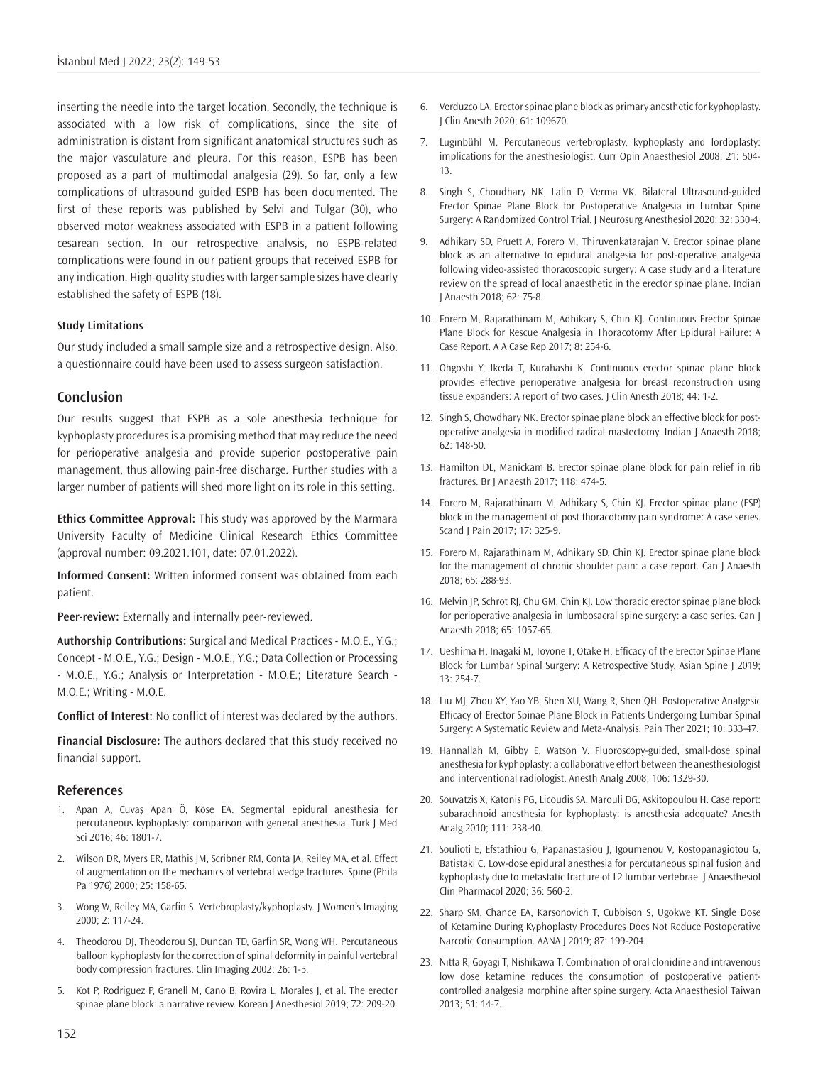inserting the needle into the target location. Secondly, the technique is associated with a low risk of complications, since the site of administration is distant from significant anatomical structures such as the major vasculature and pleura. For this reason, ESPB has been proposed as a part of multimodal analgesia (29). So far, only a few complications of ultrasound guided ESPB has been documented. The first of these reports was published by Selvi and Tulgar (30), who observed motor weakness associated with ESPB in a patient following cesarean section. In our retrospective analysis, no ESPB-related complications were found in our patient groups that received ESPB for any indication. High-quality studies with larger sample sizes have clearly established the safety of ESPB (18).

#### **Study Limitations**

Our study included a small sample size and a retrospective design. Also, a questionnaire could have been used to assess surgeon satisfaction.

#### **Conclusion**

Our results suggest that ESPB as a sole anesthesia technique for kyphoplasty procedures is a promising method that may reduce the need for perioperative analgesia and provide superior postoperative pain management, thus allowing pain-free discharge. Further studies with a larger number of patients will shed more light on its role in this setting.

**Ethics Committee Approval:** This study was approved by the Marmara University Faculty of Medicine Clinical Research Ethics Committee (approval number: 09.2021.101, date: 07.01.2022).

**Informed Consent:** Written informed consent was obtained from each patient.

**Peer-review:** Externally and internally peer-reviewed.

**Authorship Contributions:** Surgical and Medical Practices - M.O.E., Y.G.; Concept - M.O.E., Y.G.; Design - M.O.E., Y.G.; Data Collection or Processing - M.O.E., Y.G.; Analysis or Interpretation - M.O.E.; Literature Search - M.O.E.; Writing - M.O.E.

**Conflict of Interest:** No conflict of interest was declared by the authors.

**Financial Disclosure:** The authors declared that this study received no financial support.

## **References**

- 1. Apan A, Cuvaş Apan Ö, Köse EA. Segmental epidural anesthesia for percutaneous kyphoplasty: comparison with general anesthesia. Turk J Med Sci 2016; 46: 1801-7.
- 2. Wilson DR, Myers ER, Mathis JM, Scribner RM, Conta JA, Reiley MA, et al. Effect of augmentation on the mechanics of vertebral wedge fractures. Spine (Phila Pa 1976) 2000; 25: 158-65.
- 3. Wong W, Reiley MA, Garfin S. Vertebroplasty/kyphoplasty. J Women's Imaging 2000; 2: 117-24.
- 4. Theodorou DJ, Theodorou SJ, Duncan TD, Garfin SR, Wong WH. Percutaneous balloon kyphoplasty for the correction of spinal deformity in painful vertebral body compression fractures. Clin Imaging 2002; 26: 1-5.
- 5. Kot P, Rodriguez P, Granell M, Cano B, Rovira L, Morales J, et al. The erector spinae plane block: a narrative review. Korean J Anesthesiol 2019; 72: 209-20.
- 6. Verduzco LA. Erector spinae plane block as primary anesthetic for kyphoplasty. J Clin Anesth 2020; 61: 109670.
- 7. Luginbühl M. Percutaneous vertebroplasty, kyphoplasty and lordoplasty: implications for the anesthesiologist. Curr Opin Anaesthesiol 2008; 21: 504- 13.
- 8. Singh S, Choudhary NK, Lalin D, Verma VK. Bilateral Ultrasound-guided Erector Spinae Plane Block for Postoperative Analgesia in Lumbar Spine Surgery: A Randomized Control Trial. J Neurosurg Anesthesiol 2020; 32: 330-4.
- 9. Adhikary SD, Pruett A, Forero M, Thiruvenkatarajan V. Erector spinae plane block as an alternative to epidural analgesia for post-operative analgesia following video-assisted thoracoscopic surgery: A case study and a literature review on the spread of local anaesthetic in the erector spinae plane. Indian J Anaesth 2018; 62: 75-8.
- 10. Forero M, Rajarathinam M, Adhikary S, Chin KJ. Continuous Erector Spinae Plane Block for Rescue Analgesia in Thoracotomy After Epidural Failure: A Case Report. A A Case Rep 2017; 8: 254-6.
- 11. Ohgoshi Y, Ikeda T, Kurahashi K. Continuous erector spinae plane block provides effective perioperative analgesia for breast reconstruction using tissue expanders: A report of two cases. J Clin Anesth 2018; 44: 1-2.
- 12. Singh S, Chowdhary NK. Erector spinae plane block an effective block for postoperative analgesia in modified radical mastectomy. Indian J Anaesth 2018; 62: 148-50.
- 13. Hamilton DL, Manickam B. Erector spinae plane block for pain relief in rib fractures. Br J Anaesth 2017; 118: 474-5.
- 14. Forero M, Rajarathinam M, Adhikary S, Chin KJ. Erector spinae plane (ESP) block in the management of post thoracotomy pain syndrome: A case series. Scand J Pain 2017; 17: 325-9.
- 15. Forero M, Rajarathinam M, Adhikary SD, Chin KJ. Erector spinae plane block for the management of chronic shoulder pain: a case report. Can J Anaesth 2018; 65: 288-93.
- 16. Melvin JP, Schrot RJ, Chu GM, Chin KJ. Low thoracic erector spinae plane block for perioperative analgesia in lumbosacral spine surgery: a case series. Can J Anaesth 2018; 65: 1057-65.
- 17. Ueshima H, Inagaki M, Toyone T, Otake H. Efficacy of the Erector Spinae Plane Block for Lumbar Spinal Surgery: A Retrospective Study. Asian Spine J 2019;  $13: 254 - 7$
- 18. Liu MJ, Zhou XY, Yao YB, Shen XU, Wang R, Shen QH. Postoperative Analgesic Efficacy of Erector Spinae Plane Block in Patients Undergoing Lumbar Spinal Surgery: A Systematic Review and Meta-Analysis. Pain Ther 2021; 10: 333-47.
- 19. Hannallah M, Gibby E, Watson V. Fluoroscopy-guided, small-dose spinal anesthesia for kyphoplasty: a collaborative effort between the anesthesiologist and interventional radiologist. Anesth Analg 2008; 106: 1329-30.
- 20. Souvatzis X, Katonis PG, Licoudis SA, Marouli DG, Askitopoulou H. Case report: subarachnoid anesthesia for kyphoplasty: is anesthesia adequate? Anesth Analg 2010; 111: 238-40.
- 21. Soulioti E, Efstathiou G, Papanastasiou J, Igoumenou V, Kostopanagiotou G, Batistaki C. Low-dose epidural anesthesia for percutaneous spinal fusion and kyphoplasty due to metastatic fracture of L2 lumbar vertebrae. J Anaesthesiol Clin Pharmacol 2020; 36: 560-2.
- 22. Sharp SM, Chance EA, Karsonovich T, Cubbison S, Ugokwe KT. Single Dose of Ketamine During Kyphoplasty Procedures Does Not Reduce Postoperative Narcotic Consumption. AANA J 2019; 87: 199-204.
- 23. Nitta R, Goyagi T, Nishikawa T. Combination of oral clonidine and intravenous low dose ketamine reduces the consumption of postoperative patientcontrolled analgesia morphine after spine surgery. Acta Anaesthesiol Taiwan 2013; 51: 14-7.